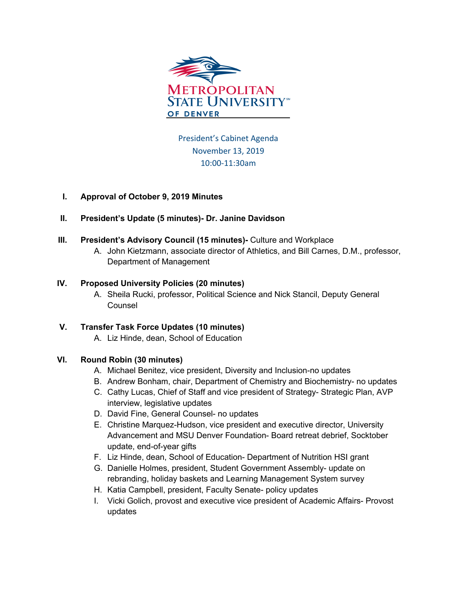

President's Cabinet Agenda November 13, 2019 10:00-11:30am

# **I. Approval of October 9, 2019 Minutes**

# **II. President's Update (5 minutes)- Dr. Janine Davidson**

- **III. President's Advisory Council (15 minutes)-** Culture and Workplace
	- A. John Kietzmann, associate director of Athletics, and Bill Carnes, D.M., professor, Department of Management

### **IV. Proposed University Policies (20 minutes)**

A. Sheila Rucki, professor, Political Science and Nick Stancil, Deputy General Counsel

# **V. Transfer Task Force Updates (10 minutes)**

A. Liz Hinde, dean, School of Education

# **VI. Round Robin (30 minutes)**

- A. Michael Benitez, vice president, Diversity and Inclusion-no updates
- B. Andrew Bonham, chair, Department of Chemistry and Biochemistry- no updates
- C. Cathy Lucas, Chief of Staff and vice president of Strategy- Strategic Plan, AVP interview, legislative updates
- D. David Fine, General Counsel- no updates
- E. Christine Marquez-Hudson, vice president and executive director, University Advancement and MSU Denver Foundation- Board retreat debrief, Socktober update, end-of-year gifts
- F. Liz Hinde, dean, School of Education- Department of Nutrition HSI grant
- G. Danielle Holmes, president, Student Government Assembly- update on rebranding, holiday baskets and Learning Management System survey
- H. Katia Campbell, president, Faculty Senate- policy updates
- I. Vicki Golich, provost and executive vice president of Academic Affairs- Provost updates